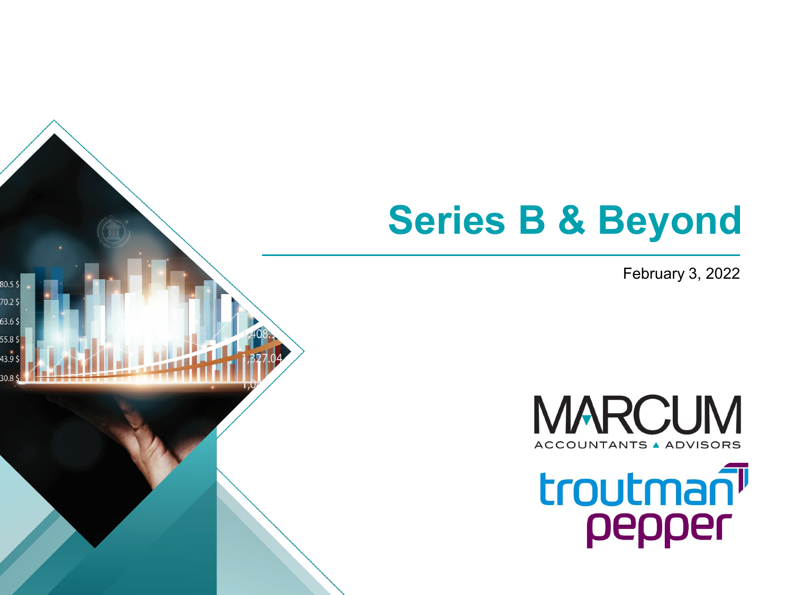# **Series B & Beyond**

80.5\$  $70.2$ \$  $63.6\,\$$  $55.8<sup>9</sup>$ 43.9\$  $30.8<sup>5</sup>$ 

February 3, 2022



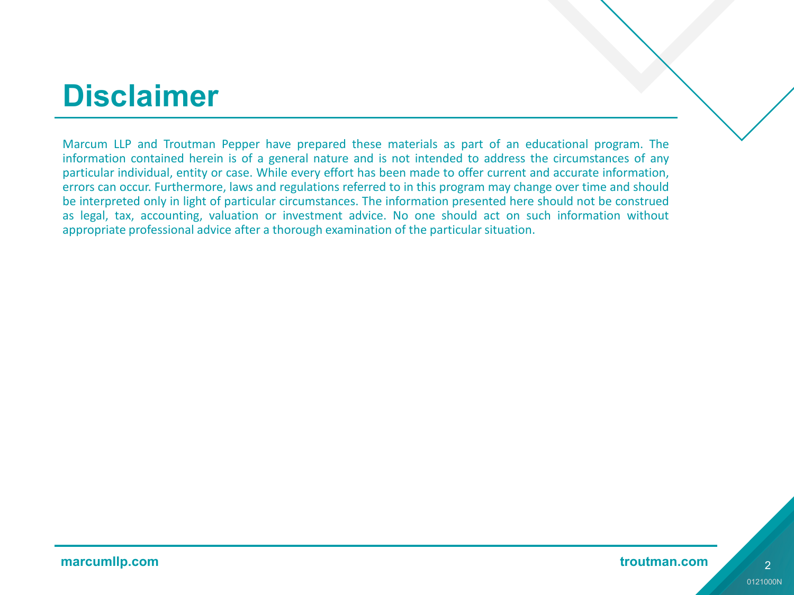### **Disclaimer**

Marcum LLP and Troutman Pepper have prepared these materials as part of an educational program. The information contained herein is of a general nature and is not intended to address the circumstances of any particular individual, entity or case. While every effort has been made to offer current and accurate information, errors can occur. Furthermore, laws and regulations referred to in this program may change over time and should be interpreted only in light of particular circumstances. The information presented here should not be construed as legal, tax, accounting, valuation or investment advice. No one should act on such information without appropriate professional advice after a thorough examination of the particular situation.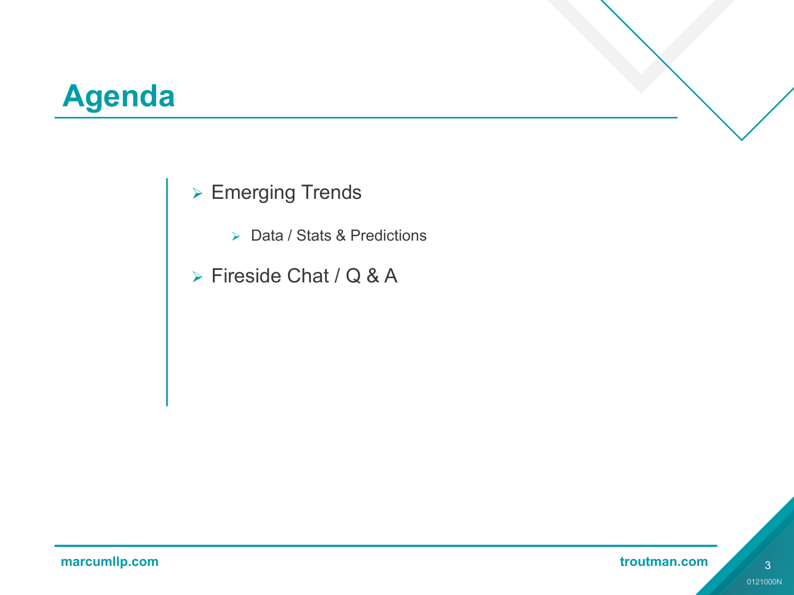# **Agenda**

#### **► Emerging Trends**

- ▶ Data / Stats & Predictions
- > Fireside Chat / Q & A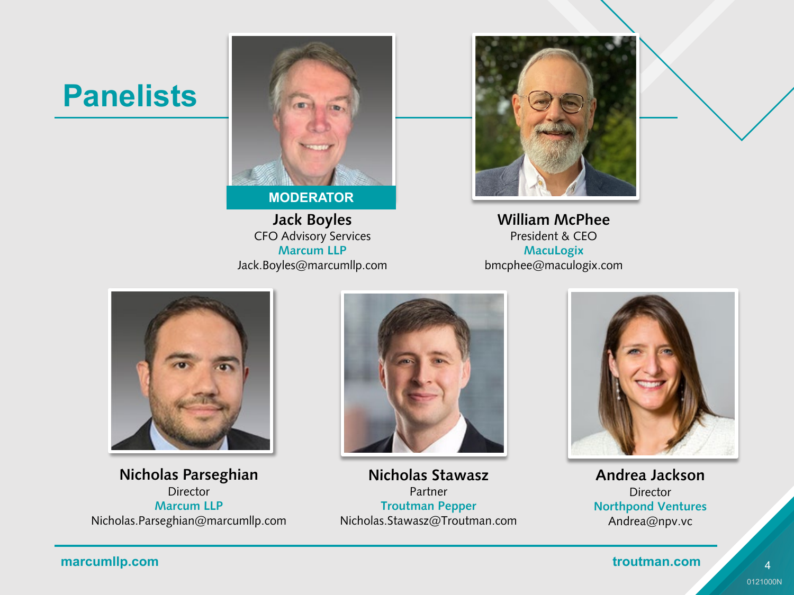#### **Panelists**



**MODERATOR**

**Jack Boyles** CFO Advisory Services **Marcum LLP** Jack.Boyles@marcumllp.com



**William McPhee** President & CEO **MacuLogix** bmcphee@maculogix.com



**Nicholas Parseghian Director Marcum LLP** Nicholas.Parseghian@marcumllp.com



**Nicholas Stawasz** Partner **Troutman Pepper** Nicholas.Stawasz@Troutman.com



**Andrea Jackson** Director **Northpond Ventures** Andrea@npv.vc

#### **marcumllp.com troutman.com** *marcumllp.com*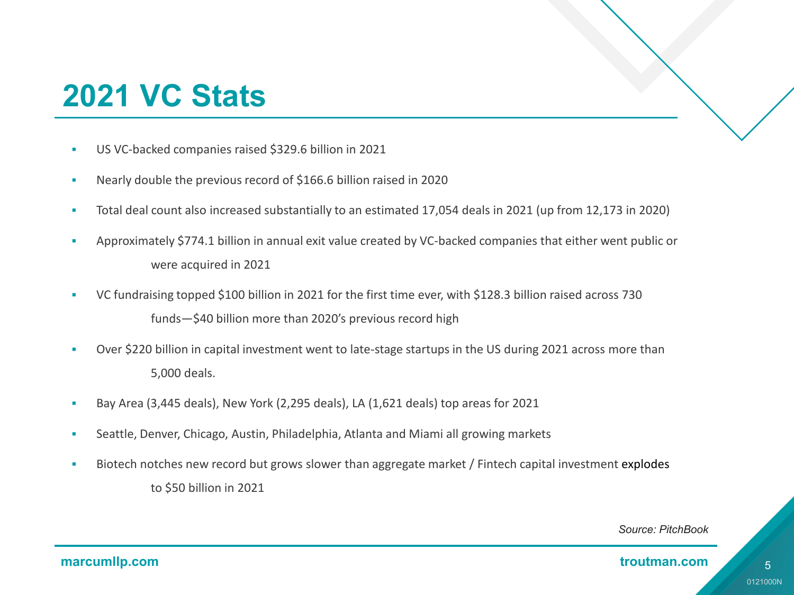# **2021 VC Stats**

- US VC-backed companies raised \$329.6 billion in 2021
- Nearly double the previous record of \$166.6 billion raised in 2020
- Total deal count also increased substantially to an estimated 17,054 deals in 2021 (up from 12,173 in 2020)
- Approximately \$774.1 billion in annual exit value created by VC-backed companies that either went public or were acquired in 2021
- VC fundraising topped \$100 billion in 2021 for the first time ever, with \$128.3 billion raised across 730 funds—\$40 billion more than 2020's previous record high
- Over \$220 billion in capital investment went to late-stage startups in the US during 2021 across more than 5,000 deals.
- Bay Area (3,445 deals), New York (2,295 deals), LA (1,621 deals) top areas for 2021
- Seattle, Denver, Chicago, Austin, Philadelphia, Atlanta and Miami all growing markets
- Biotech notches new record but grows slower than aggregate market / Fintech capital investment explodes to \$50 billion in 2021

#### *Source: PitchBook*

#### **marcumllp.com** troutman.com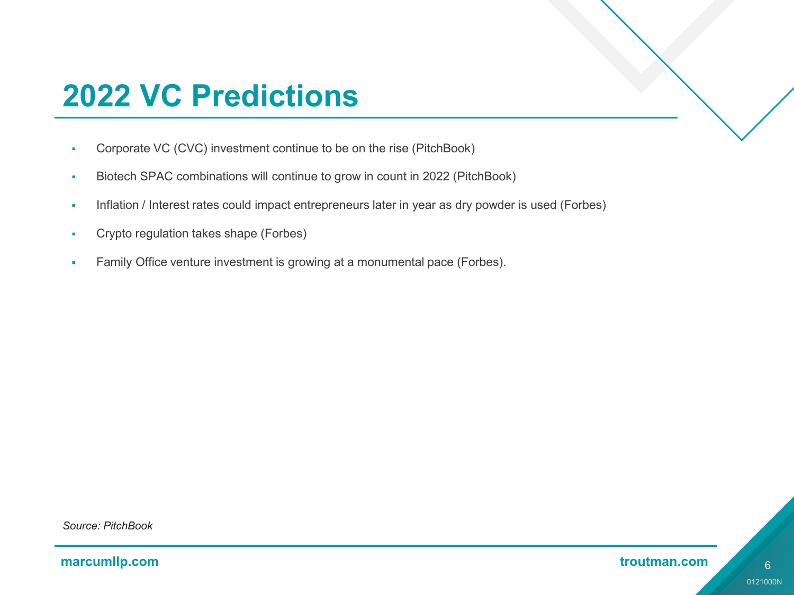# **2022 VC Predictions**

- Corporate VC (CVC) investment continue to be on the rise (PitchBook)
- Biotech SPAC combinations will continue to grow in count in 2022 (PitchBook)
- Inflation / Interest rates could impact entrepreneurs later in year as dry powder is used (Forbes)
- Crypto regulation takes shape (Forbes)
- **Family Office venture investment is growing at a monumental pace (Forbes).**

*Source: PitchBook*